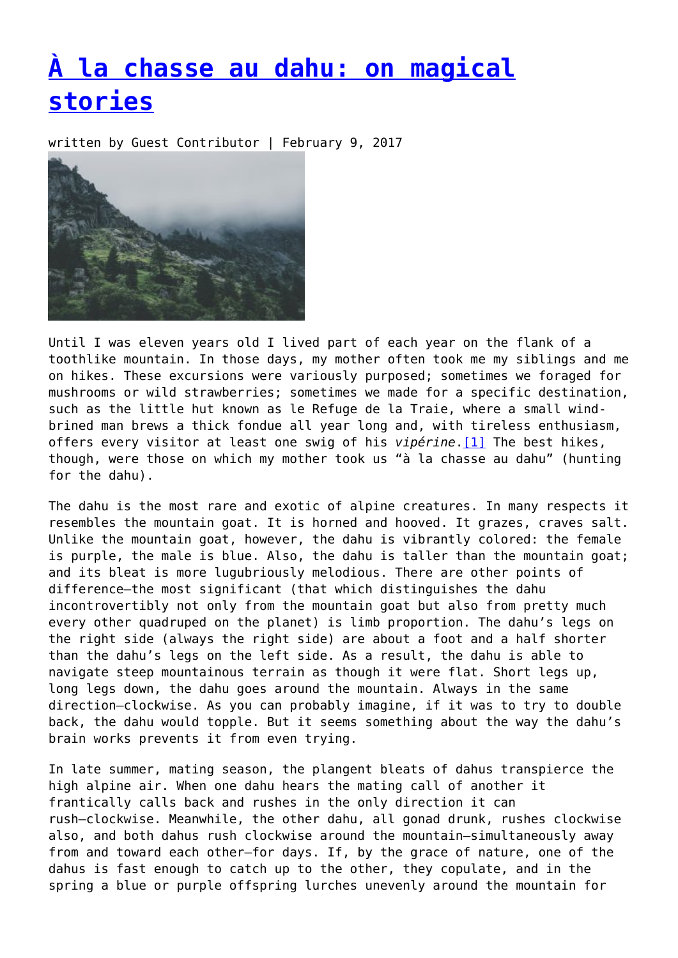## **[À la chasse au dahu: on magical](https://entropymag.org/a-la-chasse-au-dahu-on-magical-stories/) [stories](https://entropymag.org/a-la-chasse-au-dahu-on-magical-stories/)**

written by Guest Contributor | February 9, 2017



Until I was eleven years old I lived part of each year on the flank of a toothlike mountain. In those days, my mother often took me my siblings and me on hikes. These excursions were variously purposed; sometimes we foraged for mushrooms or wild strawberries; sometimes we made for a specific destination, such as the little hut known as le Refuge de la Traie, where a small windbrined man brews a thick fondue all year long and, with tireless enthusiasm, offers every visitor at least one swig of his *vipérine*.[\[1\]](#page-5-0) The best hikes, though, were those on which my mother took us "à la chasse au dahu" (hunting for the dahu).

<span id="page-0-0"></span>The dahu is the most rare and exotic of alpine creatures. In many respects it resembles the mountain goat. It is horned and hooved. It grazes, craves salt. Unlike the mountain goat, however, the dahu is vibrantly colored: the female is purple, the male is blue. Also, the dahu is taller than the mountain goat; and its bleat is more lugubriously melodious. There are other points of difference—the most significant (that which distinguishes the dahu incontrovertibly not only from the mountain goat but also from pretty much every other quadruped on the planet) is limb proportion. The dahu's legs on the right side (always the right side) are about a foot and a half shorter than the dahu's legs on the left side. As a result, the dahu is able to navigate steep mountainous terrain as though it were flat. Short legs up, long legs down, the dahu goes around the mountain. Always in the same direction—clockwise. As you can probably imagine, if it was to try to double back, the dahu would topple. But it seems something about the way the dahu's brain works prevents it from even trying.

In late summer, mating season, the plangent bleats of dahus transpierce the high alpine air. When one dahu hears the mating call of another it frantically calls back and rushes in the only direction it can rush—clockwise. Meanwhile, the other dahu, all gonad drunk, rushes clockwise also, and both dahus rush clockwise around the mountain—simultaneously away from and toward each other—for days. If, by the grace of nature, one of the dahus is fast enough to catch up to the other, they copulate, and in the spring a blue or purple offspring lurches unevenly around the mountain for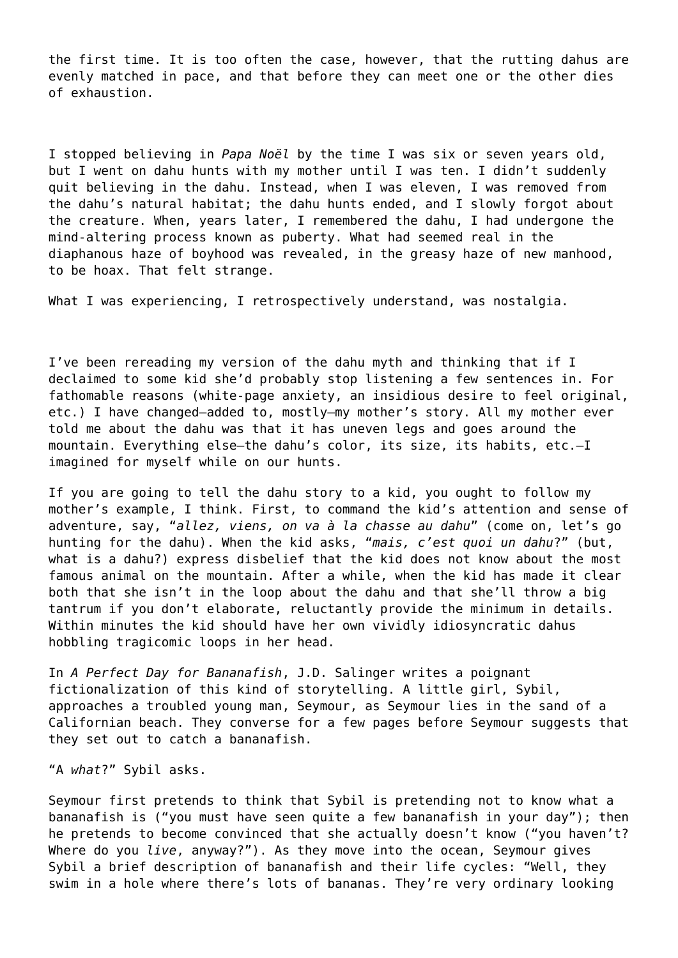the first time. It is too often the case, however, that the rutting dahus are evenly matched in pace, and that before they can meet one or the other dies of exhaustion.

I stopped believing in *Papa Noël* by the time I was six or seven years old, but I went on dahu hunts with my mother until I was ten. I didn't suddenly quit believing in the dahu. Instead, when I was eleven, I was removed from the dahu's natural habitat; the dahu hunts ended, and I slowly forgot about the creature. When, years later, I remembered the dahu, I had undergone the mind-altering process known as puberty. What had seemed real in the diaphanous haze of boyhood was revealed, in the greasy haze of new manhood, to be hoax. That felt strange.

What I was experiencing, I retrospectively understand, was nostalgia.

I've been rereading my version of the dahu myth and thinking that if I declaimed to some kid she'd probably stop listening a few sentences in. For fathomable reasons (white-page anxiety, an insidious desire to feel original, etc.) I have changed—added to, mostly—my mother's story. All my mother ever told me about the dahu was that it has uneven legs and goes around the mountain. Everything else—the dahu's color, its size, its habits, etc.—I imagined for myself while on our hunts.

If you are going to tell the dahu story to a kid, you ought to follow my mother's example, I think. First, to command the kid's attention and sense of adventure, say, "*allez, viens, on va à la chasse au dahu*" (come on, let's go hunting for the dahu). When the kid asks, "*mais, c'est quoi un dahu*?" (but, what is a dahu?) express disbelief that the kid does not know about the most famous animal on the mountain. After a while, when the kid has made it clear both that she isn't in the loop about the dahu and that she'll throw a big tantrum if you don't elaborate, reluctantly provide the minimum in details. Within minutes the kid should have her own vividly idiosyncratic dahus hobbling tragicomic loops in her head.

In *A Perfect Day for Bananafish*, J.D. Salinger writes a poignant fictionalization of this kind of storytelling. A little girl, Sybil, approaches a troubled young man, Seymour, as Seymour lies in the sand of a Californian beach. They converse for a few pages before Seymour suggests that they set out to catch a bananafish.

"A *what*?" Sybil asks.

Seymour first pretends to think that Sybil is pretending not to know what a bananafish is ("you must have seen quite a few bananafish in your day"); then he pretends to become convinced that she actually doesn't know ("you haven't? Where do you *live*, anyway?"). As they move into the ocean, Seymour gives Sybil a brief description of bananafish and their life cycles: "Well, they swim in a hole where there's lots of bananas. They're very ordinary looking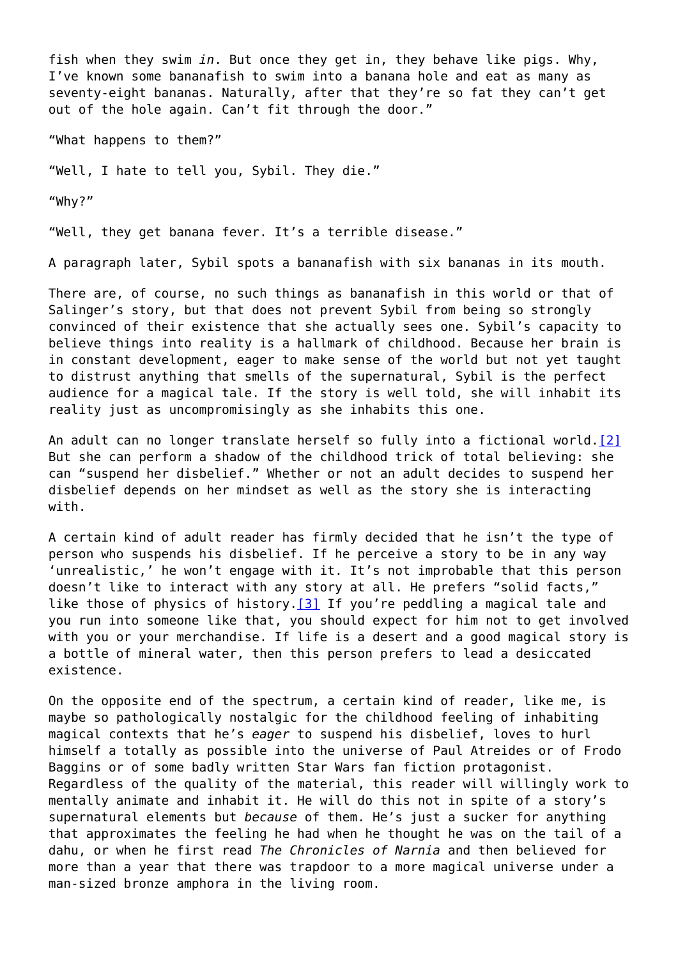fish when they swim *in*. But once they get in, they behave like pigs. Why, I've known some bananafish to swim into a banana hole and eat as many as seventy-eight bananas. Naturally, after that they're so fat they can't get out of the hole again. Can't fit through the door."

"What happens to them?"

"Well, I hate to tell you, Sybil. They die."

"Why?"

"Well, they get banana fever. It's a terrible disease."

A paragraph later, Sybil spots a bananafish with six bananas in its mouth.

There are, of course, no such things as bananafish in this world or that of Salinger's story, but that does not prevent Sybil from being so strongly convinced of their existence that she actually sees one. Sybil's capacity to believe things into reality is a hallmark of childhood. Because her brain is in constant development, eager to make sense of the world but not yet taught to distrust anything that smells of the supernatural, Sybil is the perfect audience for a magical tale. If the story is well told, she will inhabit its reality just as uncompromisingly as she inhabits this one.

<span id="page-2-0"></span>An adult can no longer translate herself so fully into a fictional world.<sup>[\[2\]](#page-5-1)</sup> But she can perform a shadow of the childhood trick of total believing: she can "suspend her disbelief." Whether or not an adult decides to suspend her disbelief depends on her mindset as well as the story she is interacting with.

<span id="page-2-1"></span>A certain kind of adult reader has firmly decided that he isn't the type of person who suspends his disbelief. If he perceive a story to be in any way 'unrealistic,' he won't engage with it. It's not improbable that this person doesn't like to interact with any story at all. He prefers "solid facts," like those of physics of history[.\[3\]](#page-5-2) If you're peddling a magical tale and you run into someone like that, you should expect for him not to get involved with you or your merchandise. If life is a desert and a good magical story is a bottle of mineral water, then this person prefers to lead a desiccated existence.

On the opposite end of the spectrum, a certain kind of reader, like me, is maybe so pathologically nostalgic for the childhood feeling of inhabiting magical contexts that he's *eager* to suspend his disbelief, loves to hurl himself a totally as possible into the universe of Paul Atreides or of Frodo Baggins or of some badly written Star Wars fan fiction protagonist. Regardless of the quality of the material, this reader will willingly work to mentally animate and inhabit it. He will do this not in spite of a story's supernatural elements but *because* of them. He's just a sucker for anything that approximates the feeling he had when he thought he was on the tail of a dahu, or when he first read *The Chronicles of Narnia* and then believed for more than a year that there was trapdoor to a more magical universe under a man-sized bronze amphora in the living room.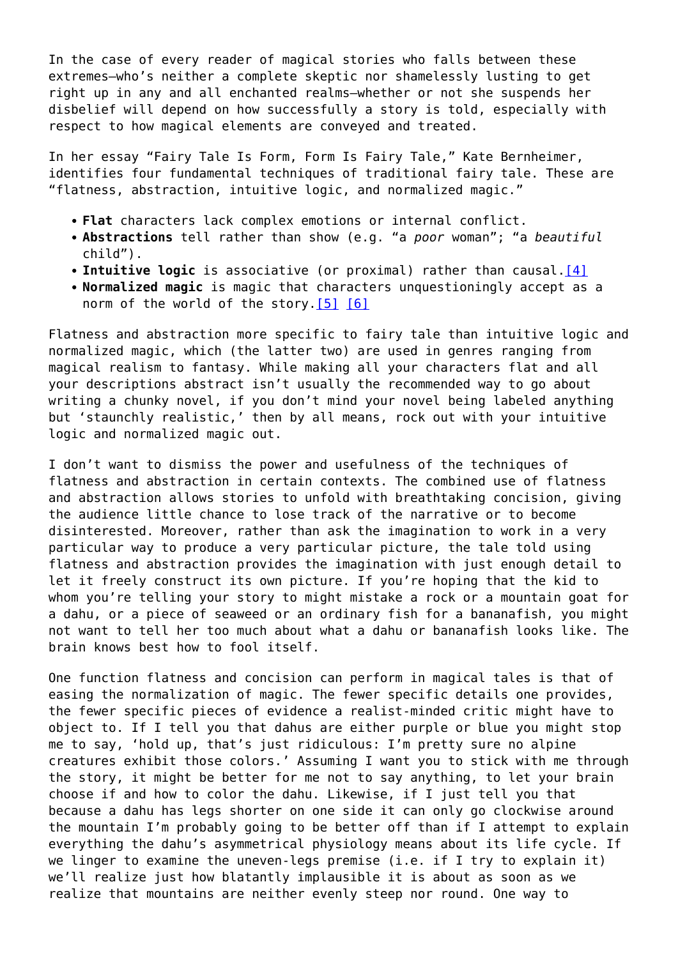In the case of every reader of magical stories who falls between these extremes—who's neither a complete skeptic nor shamelessly lusting to get right up in any and all enchanted realms—whether or not she suspends her disbelief will depend on how successfully a story is told, especially with respect to how magical elements are conveyed and treated.

In her essay "Fairy Tale Is Form, Form Is Fairy Tale," Kate Bernheimer, identifies four fundamental techniques of traditional fairy tale. These are "flatness, abstraction, intuitive logic, and normalized magic."

- **Flat** characters lack complex emotions or internal conflict.
- **Abstractions** tell rather than show (e.g. "a *poor* woman"; "a *beautiful* child").
- <span id="page-3-0"></span>**Intuitive logic** is associative (or proximal) rather than causal[.\[4\]](#page-5-3)
- **Normalized magic** is magic that characters unquestioningly accept as a norm of the world of the story.<sup>[\[5\]](#page-5-4)</sup> [\[6\]](#page-5-5)

<span id="page-3-1"></span>Flatness and abstraction more specific to fairy tale than intuitive logic and normalized magic, which (the latter two) are used in genres ranging from magical realism to fantasy. While making all your characters flat and all your descriptions abstract isn't usually the recommended way to go about writing a chunky novel, if you don't mind your novel being labeled anything but 'staunchly realistic,' then by all means, rock out with your intuitive logic and normalized magic out.

I don't want to dismiss the power and usefulness of the techniques of flatness and abstraction in certain contexts. The combined use of flatness and abstraction allows stories to unfold with breathtaking concision, giving the audience little chance to lose track of the narrative or to become disinterested. Moreover, rather than ask the imagination to work in a very particular way to produce a very particular picture, the tale told using flatness and abstraction provides the imagination with just enough detail to let it freely construct its own picture. If you're hoping that the kid to whom you're telling your story to might mistake a rock or a mountain goat for a dahu, or a piece of seaweed or an ordinary fish for a bananafish, you might not want to tell her too much about what a dahu or bananafish looks like. The brain knows best how to fool itself.

One function flatness and concision can perform in magical tales is that of easing the normalization of magic. The fewer specific details one provides, the fewer specific pieces of evidence a realist-minded critic might have to object to. If I tell you that dahus are either purple or blue you might stop me to say, 'hold up, that's just ridiculous: I'm pretty sure no alpine creatures exhibit those colors.' Assuming I want you to stick with me through the story, it might be better for me not to say anything, to let your brain choose if and how to color the dahu. Likewise, if I just tell you that because a dahu has legs shorter on one side it can only go clockwise around the mountain I'm probably going to be better off than if I attempt to explain everything the dahu's asymmetrical physiology means about its life cycle. If we linger to examine the uneven-legs premise (i.e. if I try to explain it) we'll realize just how blatantly implausible it is about as soon as we realize that mountains are neither evenly steep nor round. One way to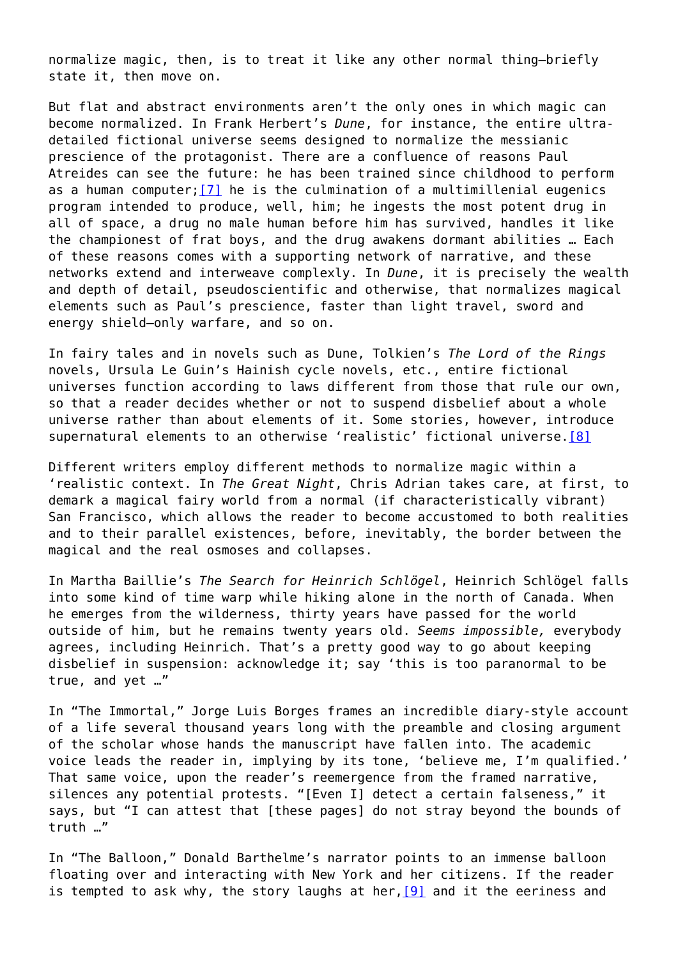normalize magic, then, is to treat it like any other normal thing—briefly state it, then move on.

<span id="page-4-0"></span>But flat and abstract environments aren't the only ones in which magic can become normalized. In Frank Herbert's *Dune*, for instance, the entire ultradetailed fictional universe seems designed to normalize the messianic prescience of the protagonist. There are a confluence of reasons Paul Atreides can see the future: he has been trained since childhood to perform as a human computer;  $[7]$  he is the culmination of a multimillenial eugenics program intended to produce, well, him; he ingests the most potent drug in all of space, a drug no male human before him has survived, handles it like the championest of frat boys, and the drug awakens dormant abilities … Each of these reasons comes with a supporting network of narrative, and these networks extend and interweave complexly. In *Dune*, it is precisely the wealth and depth of detail, pseudoscientific and otherwise, that normalizes magical elements such as Paul's prescience, faster than light travel, sword and energy shield–only warfare, and so on.

In fairy tales and in novels such as Dune, Tolkien's *The Lord of the Rings* novels, Ursula Le Guin's Hainish cycle novels, etc., entire fictional universes function according to laws different from those that rule our own, so that a reader decides whether or not to suspend disbelief about a whole universe rather than about elements of it. Some stories, however, introduce supernatural elements to an otherwise 'realistic' fictional universe[.\[8\]](#page-6-0)

<span id="page-4-1"></span>Different writers employ different methods to normalize magic within a 'realistic context. In *The Great Night*, Chris Adrian takes care, at first, to demark a magical fairy world from a normal (if characteristically vibrant) San Francisco, which allows the reader to become accustomed to both realities and to their parallel existences, before, inevitably, the border between the magical and the real osmoses and collapses.

In Martha Baillie's *The Search for Heinrich Schlögel*, Heinrich Schlögel falls into some kind of time warp while hiking alone in the north of Canada. When he emerges from the wilderness, thirty years have passed for the world outside of him, but he remains twenty years old. *Seems impossible,* everybody agrees, including Heinrich. That's a pretty good way to go about keeping disbelief in suspension: acknowledge it; say 'this is too paranormal to be true, and yet …"

In "The Immortal," Jorge Luis Borges frames an incredible diary-style account of a life several thousand years long with the preamble and closing argument of the scholar whose hands the manuscript have fallen into. The academic voice leads the reader in, implying by its tone, 'believe me, I'm qualified.' That same voice, upon the reader's reemergence from the framed narrative, silences any potential protests. "[Even I] detect a certain falseness," it says, but "I can attest that [these pages] do not stray beyond the bounds of truth …"

<span id="page-4-2"></span>In "The Balloon," Donald Barthelme's narrator points to an immense balloon floating over and interacting with New York and her citizens. If the reader is tempted to ask why, the story laughs at her,  $[9]$  and it the eeriness and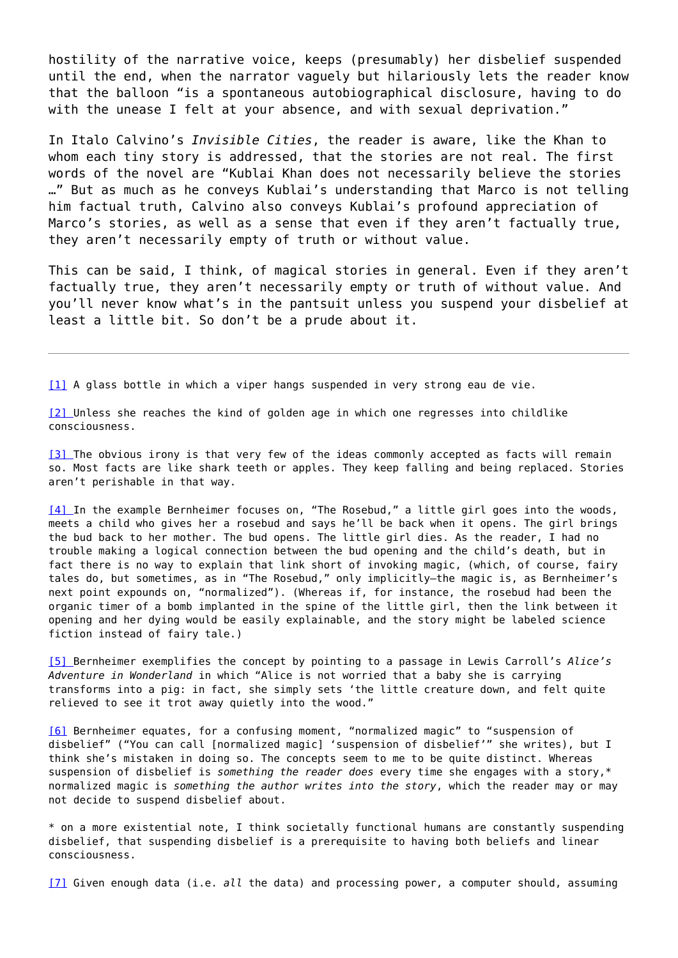hostility of the narrative voice, keeps (presumably) her disbelief suspended until the end, when the narrator vaguely but hilariously lets the reader know that the balloon "is a spontaneous autobiographical disclosure, having to do with the unease I felt at your absence, and with sexual deprivation."

In Italo Calvino's *Invisible Cities*, the reader is aware, like the Khan to whom each tiny story is addressed, that the stories are not real. The first words of the novel are "Kublai Khan does not necessarily believe the stories …" But as much as he conveys Kublai's understanding that Marco is not telling him factual truth, Calvino also conveys Kublai's profound appreciation of Marco's stories, as well as a sense that even if they aren't factually true, they aren't necessarily empty of truth or without value.

This can be said, I think, of magical stories in general. Even if they aren't factually true, they aren't necessarily empty or truth of without value. And you'll never know what's in the pantsuit unless you suspend your disbelief at least a little bit. So don't be a prude about it.

<span id="page-5-0"></span>[\[1\]](#page-0-0) A glass bottle in which a viper hangs suspended in very strong eau de vie.

<span id="page-5-1"></span>[\[2\] U](#page-2-0)nless she reaches the kind of golden age in which one regresses into childlike consciousness.

<span id="page-5-2"></span>[\[3\] T](#page-2-1)he obvious irony is that very few of the ideas commonly accepted as facts will remain so. Most facts are like shark teeth or apples. They keep falling and being replaced. Stories aren't perishable in that way.

<span id="page-5-3"></span>[\[4\] I](#page-3-0)n the example Bernheimer focuses on, "The Rosebud," a little girl goes into the woods, meets a child who gives her a rosebud and says he'll be back when it opens. The girl brings the bud back to her mother. The bud opens. The little girl dies. As the reader, I had no trouble making a logical connection between the bud opening and the child's death, but in fact there is no way to explain that link short of invoking magic, (which, of course, fairy tales do, but sometimes, as in "The Rosebud," only implicitly—the magic is, as Bernheimer's next point expounds on, "normalized"). (Whereas if, for instance, the rosebud had been the organic timer of a bomb implanted in the spine of the little girl, then the link between it opening and her dying would be easily explainable, and the story might be labeled science fiction instead of fairy tale.)

<span id="page-5-4"></span>[\[5\] B](#page-3-1)ernheimer exemplifies the concept by pointing to a passage in Lewis Carroll's *Alice's Adventure in Wonderland* in which "Alice is not worried that a baby she is carrying transforms into a pig: in fact, she simply sets 'the little creature down, and felt quite relieved to see it trot away quietly into the wood."

<span id="page-5-5"></span>[\[6\]](#page-3-1) Bernheimer equates, for a confusing moment, "normalized magic" to "suspension of disbelief" ("You can call [normalized magic] 'suspension of disbelief'" she writes), but I think she's mistaken in doing so. The concepts seem to me to be quite distinct. Whereas suspension of disbelief is *something the reader does* every time she engages with a story,\* normalized magic is *something the author writes into the story*, which the reader may or may not decide to suspend disbelief about.

\* on a more existential note, I think societally functional humans are constantly suspending disbelief, that suspending disbelief is a prerequisite to having both beliefs and linear consciousness.

<span id="page-5-6"></span>[\[7\]](#page-4-0) Given enough data (i.e. *all* the data) and processing power, a computer should, assuming